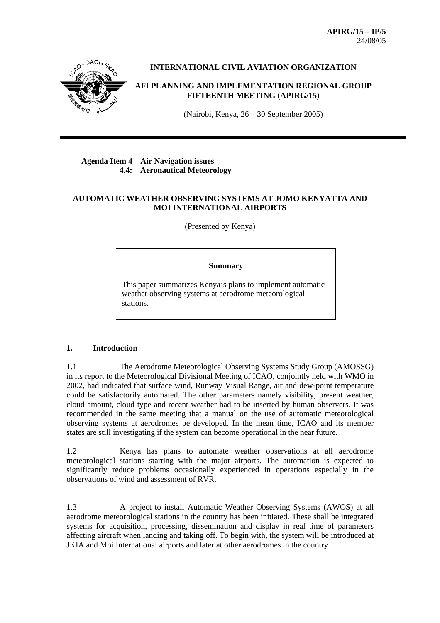**APIRG/15 – IP/5**  24/08/05



## **INTERNATIONAL CIVIL AVIATION ORGANIZATION**

### **AFI PLANNING AND IMPLEMENTATION REGIONAL GROUP FIFTEENTH MEETING (APIRG/15)**

(Nairobi, Kenya, 26 – 30 September 2005)

## **Agenda Item 4 Air Navigation issues 4.4: Aeronautical Meteorology**

## **AUTOMATIC WEATHER OBSERVING SYSTEMS AT JOMO KENYATTA AND MOI INTERNATIONAL AIRPORTS**

(Presented by Kenya)

#### **Summary**

This paper summarizes Kenya's plans to implement automatic weather observing systems at aerodrome meteorological stations.

### **1. Introduction**

1.1 The Aerodrome Meteorological Observing Systems Study Group (AMOSSG) in its report to the Meteorological Divisional Meeting of ICAO, conjointly held with WMO in 2002, had indicated that surface wind, Runway Visual Range, air and dew-point temperature could be satisfactorily automated. The other parameters namely visibility, present weather, cloud amount, cloud type and recent weather had to be inserted by human observers. It was recommended in the same meeting that a manual on the use of automatic meteorological observing systems at aerodromes be developed. In the mean time, ICAO and its member states are still investigating if the system can become operational in the near future.

1.2 Kenya has plans to automate weather observations at all aerodrome meteorological stations starting with the major airports. The automation is expected to significantly reduce problems occasionally experienced in operations especially in the observations of wind and assessment of RVR.

1.3 A project to install Automatic Weather Observing Systems (AWOS) at all aerodrome meteorological stations in the country has been initiated. These shall be integrated systems for acquisition, processing, dissemination and display in real time of parameters affecting aircraft when landing and taking off. To begin with, the system will be introduced at JKIA and Moi International airports and later at other aerodromes in the country.